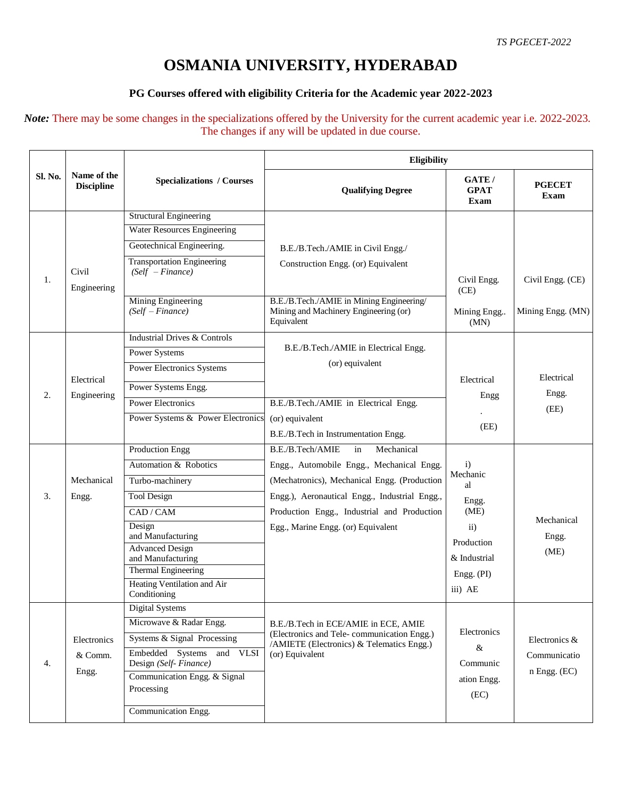## **OSMANIA UNIVERSITY, HYDERABAD**

## **PG Courses offered with eligibility Criteria for the Academic year 2022-2023**

*Note:* There may be some changes in the specializations offered by the University for the current academic year i.e. 2022-2023. The changes if any will be updated in due course.

| Sl. No. | Name of the<br><b>Discipline</b> | <b>Specializations / Courses</b>                        | Eligibility                                                                                                |                                |                              |  |
|---------|----------------------------------|---------------------------------------------------------|------------------------------------------------------------------------------------------------------------|--------------------------------|------------------------------|--|
|         |                                  |                                                         | <b>Qualifying Degree</b>                                                                                   | GATE/<br><b>GPAT</b><br>Exam   | <b>PGECET</b><br>Exam        |  |
|         |                                  | <b>Structural Engineering</b>                           |                                                                                                            |                                |                              |  |
| 1.      |                                  | <b>Water Resources Engineering</b>                      |                                                                                                            |                                |                              |  |
|         | Civil                            | Geotechnical Engineering.                               | B.E./B.Tech./AMIE in Civil Engg./                                                                          |                                |                              |  |
|         |                                  | <b>Transportation Engineering</b><br>$(Self - Finance)$ | Construction Engg. (or) Equivalent                                                                         | Civil Engg.                    | Civil Engg. (CE)             |  |
|         | Engineering                      | Mining Engineering                                      | B.E./B.Tech./AMIE in Mining Engineering/                                                                   | (CE)                           |                              |  |
|         |                                  | $(Self-Finance)$                                        | Mining and Machinery Engineering (or)<br>Equivalent                                                        | Mining Engg<br>(MN)            | Mining Engg. (MN)            |  |
|         |                                  | <b>Industrial Drives &amp; Controls</b>                 |                                                                                                            |                                |                              |  |
|         |                                  | <b>Power Systems</b>                                    | B.E./B.Tech./AMIE in Electrical Engg.                                                                      |                                |                              |  |
| 2.      | Electrical<br>Engineering        | Power Electronics Systems                               | (or) equivalent                                                                                            |                                | Electrical                   |  |
|         |                                  | Power Systems Engg.                                     |                                                                                                            | Electrical                     |                              |  |
|         |                                  | <b>Power Electronics</b>                                | B.E./B.Tech./AMIE in Electrical Engg.                                                                      | Engg                           | Engg.<br>(EE)                |  |
|         |                                  | Power Systems & Power Electronics                       | (or) equivalent                                                                                            |                                |                              |  |
|         |                                  |                                                         | B.E./B.Tech in Instrumentation Engg.                                                                       | (EE)                           |                              |  |
|         |                                  | <b>Production Engg</b>                                  | Mechanical<br>B.E./B.Tech/AMIE<br>in                                                                       |                                |                              |  |
|         | Mechanical                       | Automation & Robotics                                   | Engg., Automobile Engg., Mechanical Engg.                                                                  | $\mathbf{i}$<br>Mechanic<br>al |                              |  |
|         |                                  | Turbo-machinery                                         | (Mechatronics), Mechanical Engg. (Production                                                               |                                |                              |  |
| 3.      | Engg.                            | <b>Tool Design</b>                                      | Engg.), Aeronautical Engg., Industrial Engg.,                                                              | Engg.                          |                              |  |
|         |                                  | CAD / CAM                                               | Production Engg., Industrial and Production                                                                | (ME)                           | Mechanical                   |  |
|         |                                  | Design<br>and Manufacturing                             | Egg., Marine Engg. (or) Equivalent                                                                         | $\overline{ii}$                | Engg.                        |  |
|         |                                  | <b>Advanced Design</b>                                  |                                                                                                            | Production                     | (ME)                         |  |
|         |                                  | and Manufacturing<br>Thermal Engineering                |                                                                                                            | & Industrial                   |                              |  |
|         |                                  | Heating Ventilation and Air<br>Conditioning             |                                                                                                            | Engg. (PI)<br>iii) AE          |                              |  |
|         |                                  | Digital Systems                                         |                                                                                                            |                                |                              |  |
|         | Electronics<br>& Comm.<br>Engg.  | Microwave & Radar Engg.                                 | B.E./B.Tech in ECE/AMIE in ECE, AMIE                                                                       |                                |                              |  |
| 4.      |                                  | Systems & Signal Processing                             | (Electronics and Tele-communication Engg.)<br>/AMIETE (Electronics) & Telematics Engg.)<br>(or) Equivalent | Electronics                    | Electronics &                |  |
|         |                                  | Embedded Systems<br>and VLSI<br>Design (Self-Finance)   |                                                                                                            | &<br>Communic                  | Communicatio<br>n Engg. (EC) |  |
|         |                                  | Communication Engg. & Signal                            |                                                                                                            | ation Engg.                    |                              |  |
|         |                                  | Processing                                              |                                                                                                            | (EC)                           |                              |  |
|         |                                  | Communication Engg.                                     |                                                                                                            |                                |                              |  |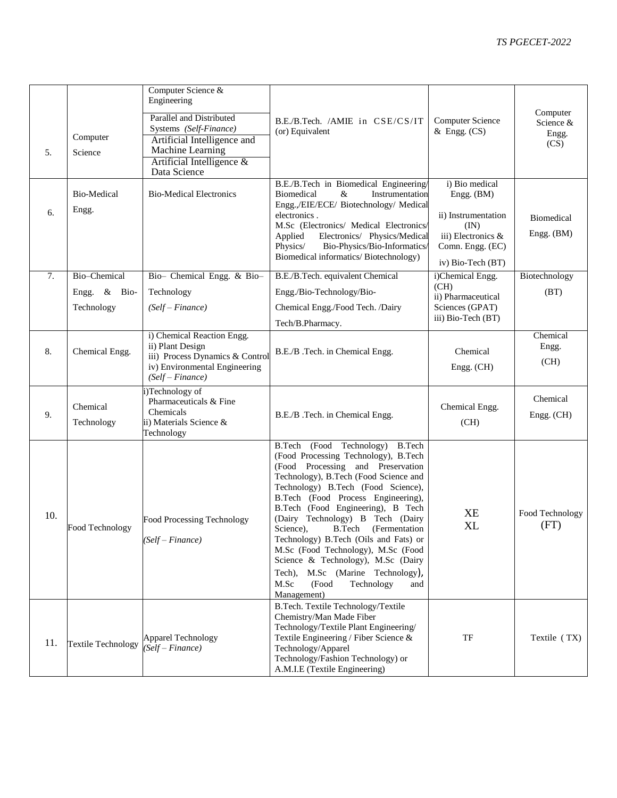| 5.  | Computer<br>Science                              | Computer Science &<br>Engineering<br>Parallel and Distributed<br>Systems (Self-Finance)<br>Artificial Intelligence and<br>Machine Learning<br>Artificial Intelligence &<br>Data Science | B.E./B.Tech. /AMIE in CSE/CS/IT<br>(or) Equivalent                                                                                                                                                                                                                                                                                                                                                                                                                                                                                                                         | <b>Computer Science</b><br>$&$ Engg. $(CS)$                                                                                | Computer<br>Science &<br>Engg.<br>(CS) |
|-----|--------------------------------------------------|-----------------------------------------------------------------------------------------------------------------------------------------------------------------------------------------|----------------------------------------------------------------------------------------------------------------------------------------------------------------------------------------------------------------------------------------------------------------------------------------------------------------------------------------------------------------------------------------------------------------------------------------------------------------------------------------------------------------------------------------------------------------------------|----------------------------------------------------------------------------------------------------------------------------|----------------------------------------|
| 6.  | Bio-Medical<br>Engg.                             | <b>Bio-Medical Electronics</b>                                                                                                                                                          | B.E./B.Tech in Biomedical Engineering/<br>Instrumentation<br><b>Biomedical</b><br>&<br>Engg.,/EIE/ECE/ Biotechnology/ Medical<br>electronics.<br>M.Sc (Electronics/ Medical Electronics/<br>Electronics/ Physics/Medical<br>Applied<br>Bio-Physics/Bio-Informatics/<br>Physics/<br>Biomedical informatics/Biotechnology)                                                                                                                                                                                                                                                   | i) Bio medical<br>Engg. (BM)<br>ii) Instrumentation<br>(IN)<br>iii) Electronics &<br>Comn. Engg. (EC)<br>iv) Bio-Tech (BT) | Biomedical<br>Engg. (BM)               |
| 7.  | Bio-Chemical<br>Engg. $\&$<br>Bio-<br>Technology | Bio- Chemical Engg. & Bio-<br>Technology<br>$(Self-Finance)$                                                                                                                            | B.E./B.Tech. equivalent Chemical<br>Engg./Bio-Technology/Bio-<br>Chemical Engg./Food Tech. /Dairy<br>Tech/B.Pharmacy.                                                                                                                                                                                                                                                                                                                                                                                                                                                      | i)Chemical Engg.<br>(CH)<br>ii) Pharmaceutical<br>Sciences (GPAT)<br>iii) Bio-Tech (BT)                                    | Biotechnology<br>(BT)                  |
| 8.  | Chemical Engg.                                   | i) Chemical Reaction Engg.<br>ii) Plant Design<br>iii) Process Dynamics & Control<br>iv) Environmental Engineering<br>$(Self-Finance)$                                                  | B.E./B .Tech. in Chemical Engg.                                                                                                                                                                                                                                                                                                                                                                                                                                                                                                                                            | Chemical<br>Engg. (CH)                                                                                                     | Chemical<br>Engg.<br>(CH)              |
| 9.  | Chemical<br>Technology                           | Technology of<br>Pharmaceuticals & Fine<br>Chemicals<br>ii) Materials Science &<br>Technology                                                                                           | B.E./B .Tech. in Chemical Engg.                                                                                                                                                                                                                                                                                                                                                                                                                                                                                                                                            | Chemical Engg.<br>(CH)                                                                                                     | Chemical<br>Engg. (CH)                 |
| 10. | Food Technology                                  | Food Processing Technology<br>(Self – Finance)                                                                                                                                          | B.Tech (Food Technology)<br><b>B.Tech</b><br>(Food Processing Technology), B.Tech<br>(Food Processing and Preservation<br>Technology), B.Tech (Food Science and<br>Technology) B.Tech (Food Science),<br>B.Tech (Food Process Engineering),<br>B.Tech (Food Engineering), B Tech<br>(Dairy Technology) B Tech (Dairy<br>Science),<br>B.Tech<br>(Fermentation<br>Technology) B.Tech (Oils and Fats) or<br>M.Sc (Food Technology), M.Sc (Food<br>Science & Technology), M.Sc (Dairy<br>Tech), M.Sc (Marine Technology),<br>M.Sc<br>(Food<br>Technology<br>and<br>Management) | <b>XE</b><br>XL                                                                                                            | Food Technology<br>(FT)                |
| 11. | <b>Textile Technology</b>                        | <b>Apparel Technology</b><br>(Self – Finance)                                                                                                                                           | B.Tech. Textile Technology/Textile<br>Chemistry/Man Made Fiber<br>Technology/Textile Plant Engineering/<br>Textile Engineering / Fiber Science &<br>Technology/Apparel<br>Technology/Fashion Technology) or<br>A.M.I.E (Textile Engineering)                                                                                                                                                                                                                                                                                                                               | TF                                                                                                                         | Textile (TX)                           |